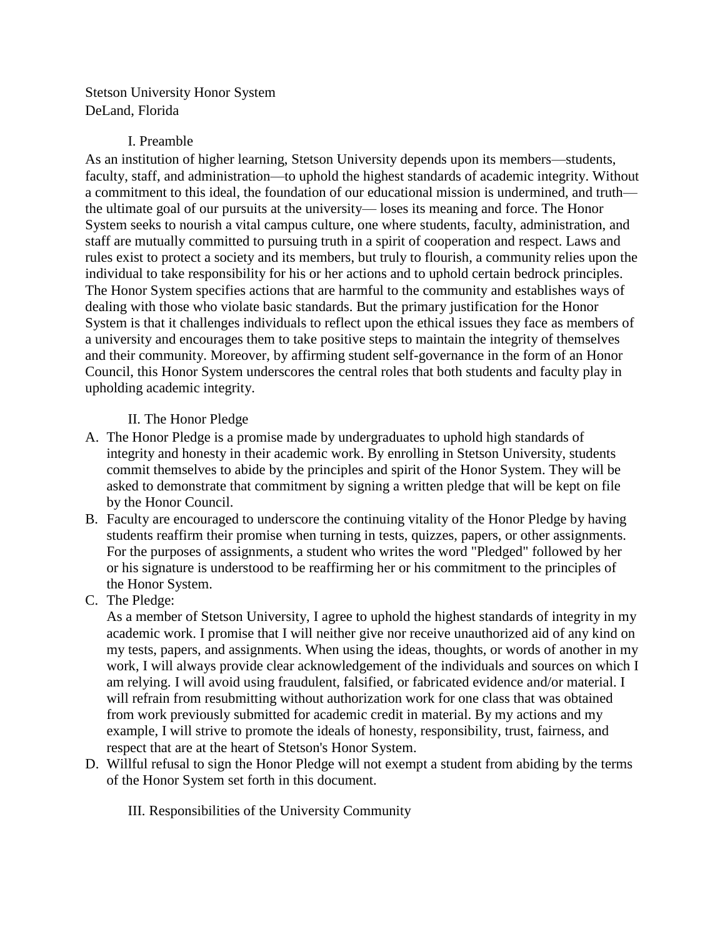Stetson University Honor System DeLand, Florida

### I. Preamble

As an institution of higher learning, Stetson University depends upon its members—students, faculty, staff, and administration—to uphold the highest standards of academic integrity. Without a commitment to this ideal, the foundation of our educational mission is undermined, and truth the ultimate goal of our pursuits at the university— loses its meaning and force. The Honor System seeks to nourish a vital campus culture, one where students, faculty, administration, and staff are mutually committed to pursuing truth in a spirit of cooperation and respect. Laws and rules exist to protect a society and its members, but truly to flourish, a community relies upon the individual to take responsibility for his or her actions and to uphold certain bedrock principles. The Honor System specifies actions that are harmful to the community and establishes ways of dealing with those who violate basic standards. But the primary justification for the Honor System is that it challenges individuals to reflect upon the ethical issues they face as members of a university and encourages them to take positive steps to maintain the integrity of themselves and their community. Moreover, by affirming student self-governance in the form of an Honor Council, this Honor System underscores the central roles that both students and faculty play in upholding academic integrity.

II. The Honor Pledge

- A. The Honor Pledge is a promise made by undergraduates to uphold high standards of integrity and honesty in their academic work. By enrolling in Stetson University, students commit themselves to abide by the principles and spirit of the Honor System. They will be asked to demonstrate that commitment by signing a written pledge that will be kept on file by the Honor Council.
- B. Faculty are encouraged to underscore the continuing vitality of the Honor Pledge by having students reaffirm their promise when turning in tests, quizzes, papers, or other assignments. For the purposes of assignments, a student who writes the word "Pledged" followed by her or his signature is understood to be reaffirming her or his commitment to the principles of the Honor System.
- C. The Pledge:

As a member of Stetson University, I agree to uphold the highest standards of integrity in my academic work. I promise that I will neither give nor receive unauthorized aid of any kind on my tests, papers, and assignments. When using the ideas, thoughts, or words of another in my work, I will always provide clear acknowledgement of the individuals and sources on which I am relying. I will avoid using fraudulent, falsified, or fabricated evidence and/or material. I will refrain from resubmitting without authorization work for one class that was obtained from work previously submitted for academic credit in material. By my actions and my example, I will strive to promote the ideals of honesty, responsibility, trust, fairness, and respect that are at the heart of Stetson's Honor System.

- D. Willful refusal to sign the Honor Pledge will not exempt a student from abiding by the terms of the Honor System set forth in this document.
	- III. Responsibilities of the University Community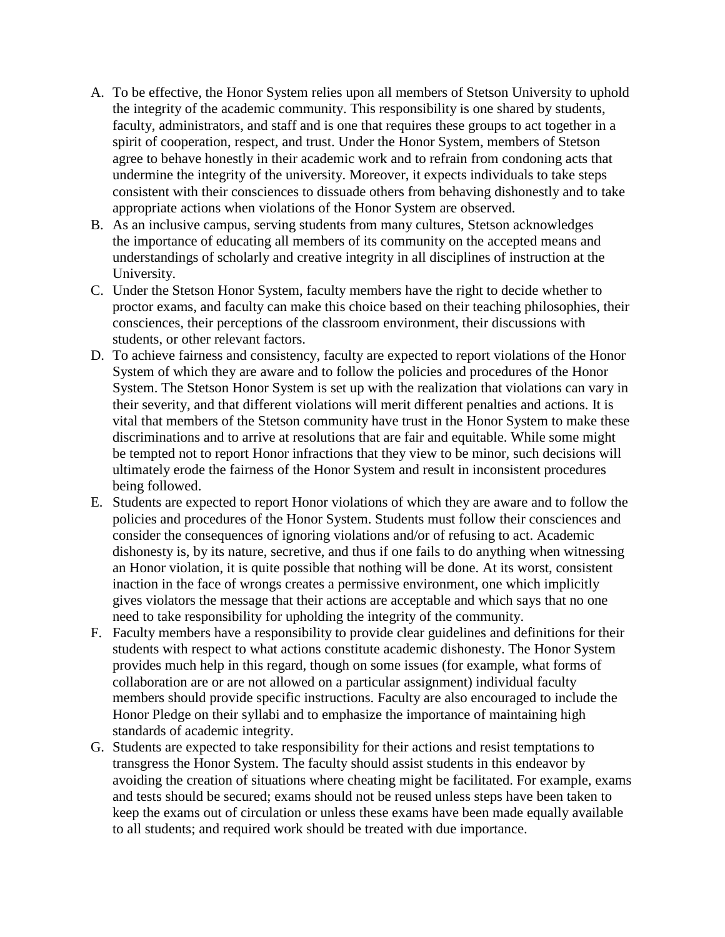- A. To be effective, the Honor System relies upon all members of Stetson University to uphold the integrity of the academic community. This responsibility is one shared by students, faculty, administrators, and staff and is one that requires these groups to act together in a spirit of cooperation, respect, and trust. Under the Honor System, members of Stetson agree to behave honestly in their academic work and to refrain from condoning acts that undermine the integrity of the university. Moreover, it expects individuals to take steps consistent with their consciences to dissuade others from behaving dishonestly and to take appropriate actions when violations of the Honor System are observed.
- B. As an inclusive campus, serving students from many cultures, Stetson acknowledges the importance of educating all members of its community on the accepted means and understandings of scholarly and creative integrity in all disciplines of instruction at the University.
- C. Under the Stetson Honor System, faculty members have the right to decide whether to proctor exams, and faculty can make this choice based on their teaching philosophies, their consciences, their perceptions of the classroom environment, their discussions with students, or other relevant factors.
- D. To achieve fairness and consistency, faculty are expected to report violations of the Honor System of which they are aware and to follow the policies and procedures of the Honor System. The Stetson Honor System is set up with the realization that violations can vary in their severity, and that different violations will merit different penalties and actions. It is vital that members of the Stetson community have trust in the Honor System to make these discriminations and to arrive at resolutions that are fair and equitable. While some might be tempted not to report Honor infractions that they view to be minor, such decisions will ultimately erode the fairness of the Honor System and result in inconsistent procedures being followed.
- E. Students are expected to report Honor violations of which they are aware and to follow the policies and procedures of the Honor System. Students must follow their consciences and consider the consequences of ignoring violations and/or of refusing to act. Academic dishonesty is, by its nature, secretive, and thus if one fails to do anything when witnessing an Honor violation, it is quite possible that nothing will be done. At its worst, consistent inaction in the face of wrongs creates a permissive environment, one which implicitly gives violators the message that their actions are acceptable and which says that no one need to take responsibility for upholding the integrity of the community.
- F. Faculty members have a responsibility to provide clear guidelines and definitions for their students with respect to what actions constitute academic dishonesty. The Honor System provides much help in this regard, though on some issues (for example, what forms of collaboration are or are not allowed on a particular assignment) individual faculty members should provide specific instructions. Faculty are also encouraged to include the Honor Pledge on their syllabi and to emphasize the importance of maintaining high standards of academic integrity.
- G. Students are expected to take responsibility for their actions and resist temptations to transgress the Honor System. The faculty should assist students in this endeavor by avoiding the creation of situations where cheating might be facilitated. For example, exams and tests should be secured; exams should not be reused unless steps have been taken to keep the exams out of circulation or unless these exams have been made equally available to all students; and required work should be treated with due importance.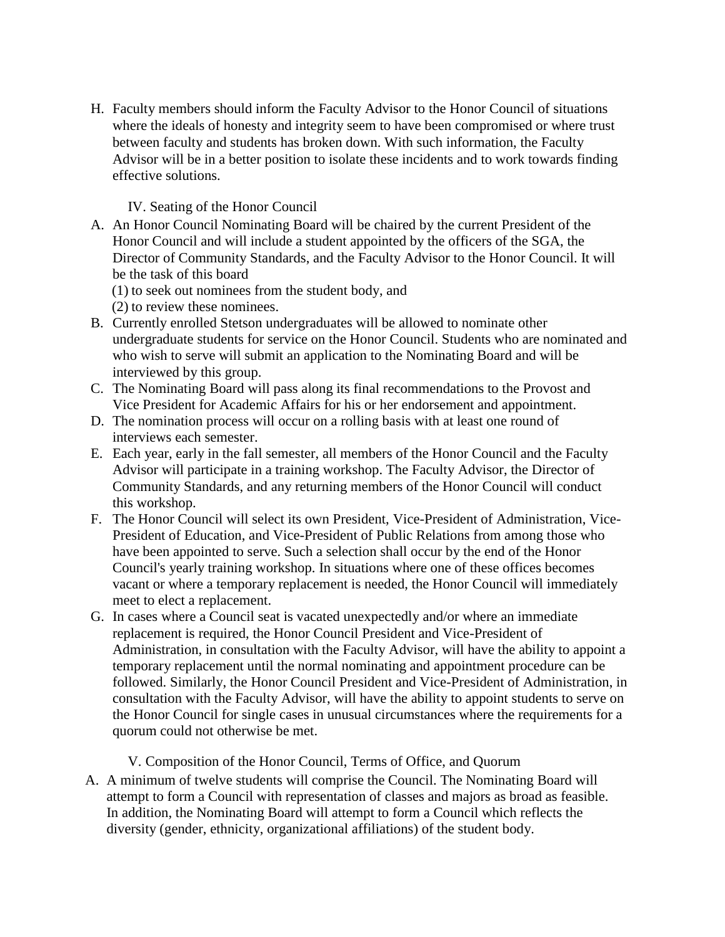H. Faculty members should inform the Faculty Advisor to the Honor Council of situations where the ideals of honesty and integrity seem to have been compromised or where trust between faculty and students has broken down. With such information, the Faculty Advisor will be in a better position to isolate these incidents and to work towards finding effective solutions.

#### IV. Seating of the Honor Council

- A. An Honor Council Nominating Board will be chaired by the current President of the Honor Council and will include a student appointed by the officers of the SGA, the Director of Community Standards, and the Faculty Advisor to the Honor Council. It will be the task of this board
	- (1) to seek out nominees from the student body, and

(2) to review these nominees.

- B. Currently enrolled Stetson undergraduates will be allowed to nominate other undergraduate students for service on the Honor Council. Students who are nominated and who wish to serve will submit an application to the Nominating Board and will be interviewed by this group.
- C. The Nominating Board will pass along its final recommendations to the Provost and Vice President for Academic Affairs for his or her endorsement and appointment.
- D. The nomination process will occur on a rolling basis with at least one round of interviews each semester.
- E. Each year, early in the fall semester, all members of the Honor Council and the Faculty Advisor will participate in a training workshop. The Faculty Advisor, the Director of Community Standards, and any returning members of the Honor Council will conduct this workshop.
- F. The Honor Council will select its own President, Vice-President of Administration, Vice-President of Education, and Vice-President of Public Relations from among those who have been appointed to serve. Such a selection shall occur by the end of the Honor Council's yearly training workshop. In situations where one of these offices becomes vacant or where a temporary replacement is needed, the Honor Council will immediately meet to elect a replacement.
- G. In cases where a Council seat is vacated unexpectedly and/or where an immediate replacement is required, the Honor Council President and Vice-President of Administration, in consultation with the Faculty Advisor, will have the ability to appoint a temporary replacement until the normal nominating and appointment procedure can be followed. Similarly, the Honor Council President and Vice-President of Administration, in consultation with the Faculty Advisor, will have the ability to appoint students to serve on the Honor Council for single cases in unusual circumstances where the requirements for a quorum could not otherwise be met.

#### V. Composition of the Honor Council, Terms of Office, and Quorum

A. A minimum of twelve students will comprise the Council. The Nominating Board will attempt to form a Council with representation of classes and majors as broad as feasible. In addition, the Nominating Board will attempt to form a Council which reflects the diversity (gender, ethnicity, organizational affiliations) of the student body.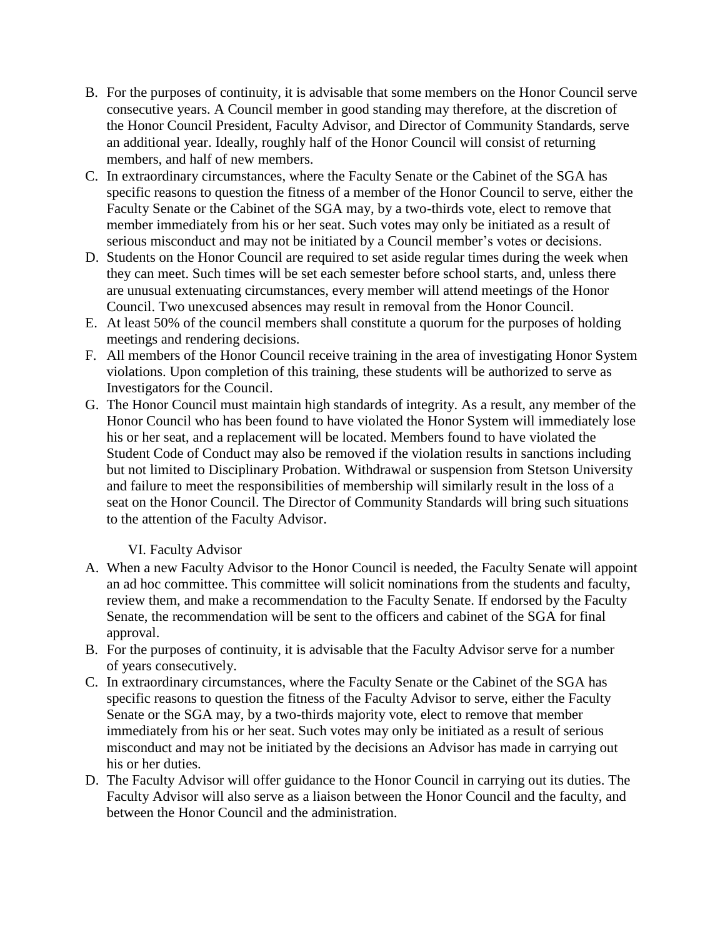- B. For the purposes of continuity, it is advisable that some members on the Honor Council serve consecutive years. A Council member in good standing may therefore, at the discretion of the Honor Council President, Faculty Advisor, and Director of Community Standards, serve an additional year. Ideally, roughly half of the Honor Council will consist of returning members, and half of new members.
- C. In extraordinary circumstances, where the Faculty Senate or the Cabinet of the SGA has specific reasons to question the fitness of a member of the Honor Council to serve, either the Faculty Senate or the Cabinet of the SGA may, by a two-thirds vote, elect to remove that member immediately from his or her seat. Such votes may only be initiated as a result of serious misconduct and may not be initiated by a Council member's votes or decisions.
- D. Students on the Honor Council are required to set aside regular times during the week when they can meet. Such times will be set each semester before school starts, and, unless there are unusual extenuating circumstances, every member will attend meetings of the Honor Council. Two unexcused absences may result in removal from the Honor Council.
- E. At least 50% of the council members shall constitute a quorum for the purposes of holding meetings and rendering decisions.
- F. All members of the Honor Council receive training in the area of investigating Honor System violations. Upon completion of this training, these students will be authorized to serve as Investigators for the Council.
- G. The Honor Council must maintain high standards of integrity. As a result, any member of the Honor Council who has been found to have violated the Honor System will immediately lose his or her seat, and a replacement will be located. Members found to have violated the Student Code of Conduct may also be removed if the violation results in sanctions including but not limited to Disciplinary Probation. Withdrawal or suspension from Stetson University and failure to meet the responsibilities of membership will similarly result in the loss of a seat on the Honor Council. The Director of Community Standards will bring such situations to the attention of the Faculty Advisor.

### VI. Faculty Advisor

- A. When a new Faculty Advisor to the Honor Council is needed, the Faculty Senate will appoint an ad hoc committee. This committee will solicit nominations from the students and faculty, review them, and make a recommendation to the Faculty Senate. If endorsed by the Faculty Senate, the recommendation will be sent to the officers and cabinet of the SGA for final approval.
- B. For the purposes of continuity, it is advisable that the Faculty Advisor serve for a number of years consecutively.
- C. In extraordinary circumstances, where the Faculty Senate or the Cabinet of the SGA has specific reasons to question the fitness of the Faculty Advisor to serve, either the Faculty Senate or the SGA may, by a two-thirds majority vote, elect to remove that member immediately from his or her seat. Such votes may only be initiated as a result of serious misconduct and may not be initiated by the decisions an Advisor has made in carrying out his or her duties.
- D. The Faculty Advisor will offer guidance to the Honor Council in carrying out its duties. The Faculty Advisor will also serve as a liaison between the Honor Council and the faculty, and between the Honor Council and the administration.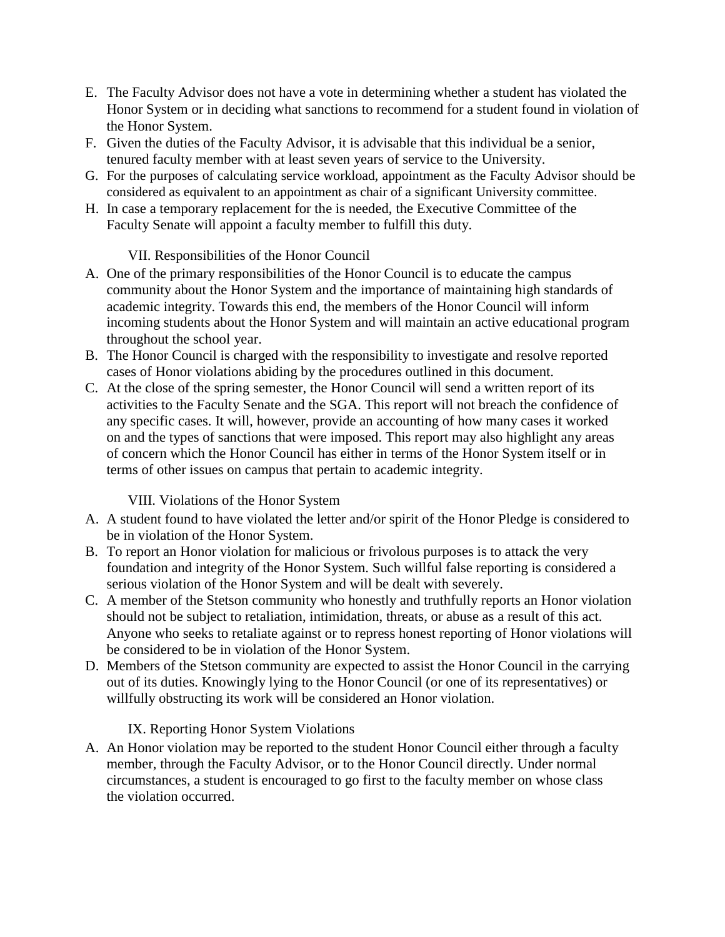- E. The Faculty Advisor does not have a vote in determining whether a student has violated the Honor System or in deciding what sanctions to recommend for a student found in violation of the Honor System.
- F. Given the duties of the Faculty Advisor, it is advisable that this individual be a senior, tenured faculty member with at least seven years of service to the University.
- G. For the purposes of calculating service workload, appointment as the Faculty Advisor should be considered as equivalent to an appointment as chair of a significant University committee.
- H. In case a temporary replacement for the is needed, the Executive Committee of the Faculty Senate will appoint a faculty member to fulfill this duty.

## VII. Responsibilities of the Honor Council

- A. One of the primary responsibilities of the Honor Council is to educate the campus community about the Honor System and the importance of maintaining high standards of academic integrity. Towards this end, the members of the Honor Council will inform incoming students about the Honor System and will maintain an active educational program throughout the school year.
- B. The Honor Council is charged with the responsibility to investigate and resolve reported cases of Honor violations abiding by the procedures outlined in this document.
- C. At the close of the spring semester, the Honor Council will send a written report of its activities to the Faculty Senate and the SGA. This report will not breach the confidence of any specific cases. It will, however, provide an accounting of how many cases it worked on and the types of sanctions that were imposed. This report may also highlight any areas of concern which the Honor Council has either in terms of the Honor System itself or in terms of other issues on campus that pertain to academic integrity.

### VIII. Violations of the Honor System

- A. A student found to have violated the letter and/or spirit of the Honor Pledge is considered to be in violation of the Honor System.
- B. To report an Honor violation for malicious or frivolous purposes is to attack the very foundation and integrity of the Honor System. Such willful false reporting is considered a serious violation of the Honor System and will be dealt with severely.
- C. A member of the Stetson community who honestly and truthfully reports an Honor violation should not be subject to retaliation, intimidation, threats, or abuse as a result of this act. Anyone who seeks to retaliate against or to repress honest reporting of Honor violations will be considered to be in violation of the Honor System.
- D. Members of the Stetson community are expected to assist the Honor Council in the carrying out of its duties. Knowingly lying to the Honor Council (or one of its representatives) or willfully obstructing its work will be considered an Honor violation.

# IX. Reporting Honor System Violations

A. An Honor violation may be reported to the student Honor Council either through a faculty member, through the Faculty Advisor, or to the Honor Council directly. Under normal circumstances, a student is encouraged to go first to the faculty member on whose class the violation occurred.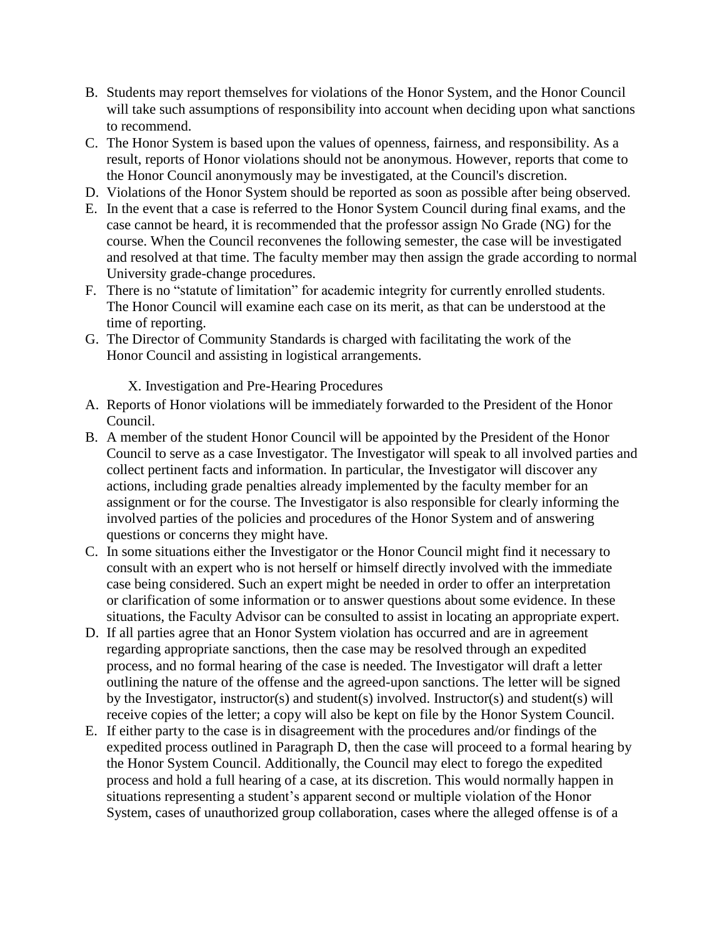- B. Students may report themselves for violations of the Honor System, and the Honor Council will take such assumptions of responsibility into account when deciding upon what sanctions to recommend.
- C. The Honor System is based upon the values of openness, fairness, and responsibility. As a result, reports of Honor violations should not be anonymous. However, reports that come to the Honor Council anonymously may be investigated, at the Council's discretion.
- D. Violations of the Honor System should be reported as soon as possible after being observed.
- E. In the event that a case is referred to the Honor System Council during final exams, and the case cannot be heard, it is recommended that the professor assign No Grade (NG) for the course. When the Council reconvenes the following semester, the case will be investigated and resolved at that time. The faculty member may then assign the grade according to normal University grade-change procedures.
- F. There is no "statute of limitation" for academic integrity for currently enrolled students. The Honor Council will examine each case on its merit, as that can be understood at the time of reporting.
- G. The Director of Community Standards is charged with facilitating the work of the Honor Council and assisting in logistical arrangements.

X. Investigation and Pre-Hearing Procedures

- A. Reports of Honor violations will be immediately forwarded to the President of the Honor Council.
- B. A member of the student Honor Council will be appointed by the President of the Honor Council to serve as a case Investigator. The Investigator will speak to all involved parties and collect pertinent facts and information. In particular, the Investigator will discover any actions, including grade penalties already implemented by the faculty member for an assignment or for the course. The Investigator is also responsible for clearly informing the involved parties of the policies and procedures of the Honor System and of answering questions or concerns they might have.
- C. In some situations either the Investigator or the Honor Council might find it necessary to consult with an expert who is not herself or himself directly involved with the immediate case being considered. Such an expert might be needed in order to offer an interpretation or clarification of some information or to answer questions about some evidence. In these situations, the Faculty Advisor can be consulted to assist in locating an appropriate expert.
- D. If all parties agree that an Honor System violation has occurred and are in agreement regarding appropriate sanctions, then the case may be resolved through an expedited process, and no formal hearing of the case is needed. The Investigator will draft a letter outlining the nature of the offense and the agreed-upon sanctions. The letter will be signed by the Investigator, instructor(s) and student(s) involved. Instructor(s) and student(s) will receive copies of the letter; a copy will also be kept on file by the Honor System Council.
- E. If either party to the case is in disagreement with the procedures and/or findings of the expedited process outlined in Paragraph D, then the case will proceed to a formal hearing by the Honor System Council. Additionally, the Council may elect to forego the expedited process and hold a full hearing of a case, at its discretion. This would normally happen in situations representing a student's apparent second or multiple violation of the Honor System, cases of unauthorized group collaboration, cases where the alleged offense is of a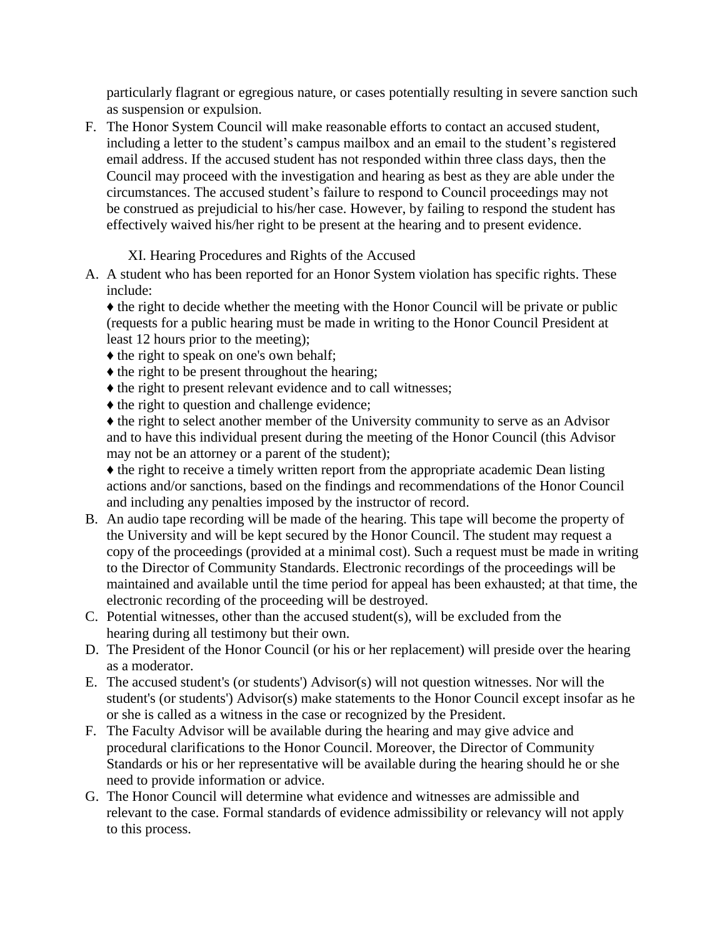particularly flagrant or egregious nature, or cases potentially resulting in severe sanction such as suspension or expulsion.

F. The Honor System Council will make reasonable efforts to contact an accused student, including a letter to the student's campus mailbox and an email to the student's registered email address. If the accused student has not responded within three class days, then the Council may proceed with the investigation and hearing as best as they are able under the circumstances. The accused student's failure to respond to Council proceedings may not be construed as prejudicial to his/her case. However, by failing to respond the student has effectively waived his/her right to be present at the hearing and to present evidence.

XI. Hearing Procedures and Rights of the Accused

A. A student who has been reported for an Honor System violation has specific rights. These include:

♦ the right to decide whether the meeting with the Honor Council will be private or public (requests for a public hearing must be made in writing to the Honor Council President at least 12 hours prior to the meeting);

- ♦ the right to speak on one's own behalf;
- ♦ the right to be present throughout the hearing;
- ♦ the right to present relevant evidence and to call witnesses;
- $\triangle$  the right to question and challenge evidence;

♦ the right to select another member of the University community to serve as an Advisor and to have this individual present during the meeting of the Honor Council (this Advisor may not be an attorney or a parent of the student);

♦ the right to receive a timely written report from the appropriate academic Dean listing actions and/or sanctions, based on the findings and recommendations of the Honor Council and including any penalties imposed by the instructor of record.

- B. An audio tape recording will be made of the hearing. This tape will become the property of the University and will be kept secured by the Honor Council. The student may request a copy of the proceedings (provided at a minimal cost). Such a request must be made in writing to the Director of Community Standards. Electronic recordings of the proceedings will be maintained and available until the time period for appeal has been exhausted; at that time, the electronic recording of the proceeding will be destroyed.
- C. Potential witnesses, other than the accused student(s), will be excluded from the hearing during all testimony but their own.
- D. The President of the Honor Council (or his or her replacement) will preside over the hearing as a moderator.
- E. The accused student's (or students') Advisor(s) will not question witnesses. Nor will the student's (or students') Advisor(s) make statements to the Honor Council except insofar as he or she is called as a witness in the case or recognized by the President.
- F. The Faculty Advisor will be available during the hearing and may give advice and procedural clarifications to the Honor Council. Moreover, the Director of Community Standards or his or her representative will be available during the hearing should he or she need to provide information or advice.
- G. The Honor Council will determine what evidence and witnesses are admissible and relevant to the case. Formal standards of evidence admissibility or relevancy will not apply to this process.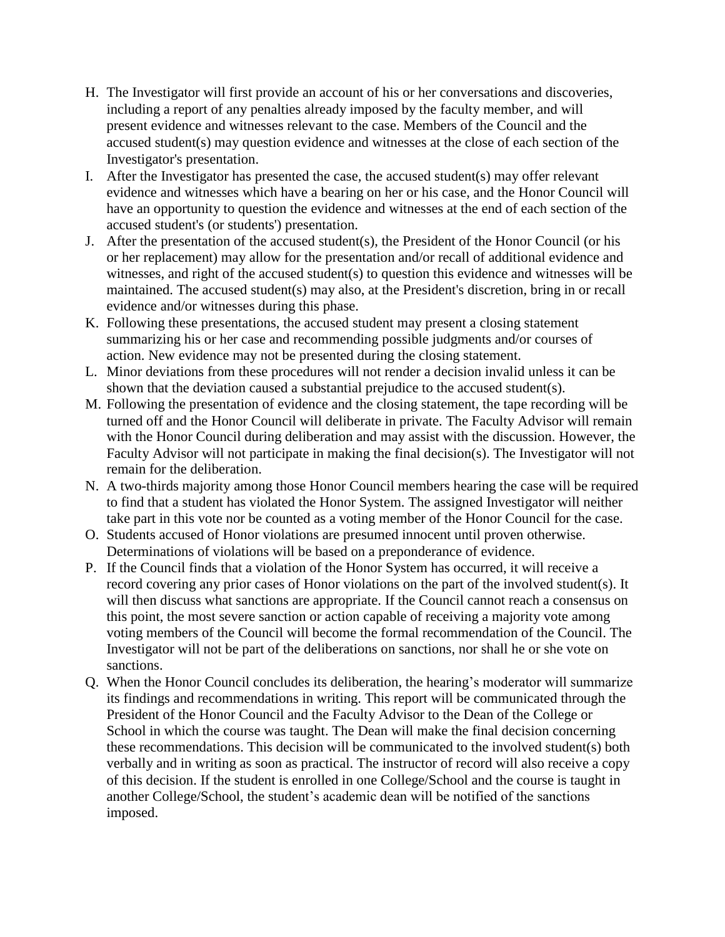- H. The Investigator will first provide an account of his or her conversations and discoveries, including a report of any penalties already imposed by the faculty member, and will present evidence and witnesses relevant to the case. Members of the Council and the accused student(s) may question evidence and witnesses at the close of each section of the Investigator's presentation.
- I. After the Investigator has presented the case, the accused student(s) may offer relevant evidence and witnesses which have a bearing on her or his case, and the Honor Council will have an opportunity to question the evidence and witnesses at the end of each section of the accused student's (or students') presentation.
- J. After the presentation of the accused student(s), the President of the Honor Council (or his or her replacement) may allow for the presentation and/or recall of additional evidence and witnesses, and right of the accused student(s) to question this evidence and witnesses will be maintained. The accused student(s) may also, at the President's discretion, bring in or recall evidence and/or witnesses during this phase.
- K. Following these presentations, the accused student may present a closing statement summarizing his or her case and recommending possible judgments and/or courses of action. New evidence may not be presented during the closing statement.
- L. Minor deviations from these procedures will not render a decision invalid unless it can be shown that the deviation caused a substantial prejudice to the accused student(s).
- M. Following the presentation of evidence and the closing statement, the tape recording will be turned off and the Honor Council will deliberate in private. The Faculty Advisor will remain with the Honor Council during deliberation and may assist with the discussion. However, the Faculty Advisor will not participate in making the final decision(s). The Investigator will not remain for the deliberation.
- N. A two-thirds majority among those Honor Council members hearing the case will be required to find that a student has violated the Honor System. The assigned Investigator will neither take part in this vote nor be counted as a voting member of the Honor Council for the case.
- O. Students accused of Honor violations are presumed innocent until proven otherwise. Determinations of violations will be based on a preponderance of evidence.
- P. If the Council finds that a violation of the Honor System has occurred, it will receive a record covering any prior cases of Honor violations on the part of the involved student(s). It will then discuss what sanctions are appropriate. If the Council cannot reach a consensus on this point, the most severe sanction or action capable of receiving a majority vote among voting members of the Council will become the formal recommendation of the Council. The Investigator will not be part of the deliberations on sanctions, nor shall he or she vote on sanctions.
- Q. When the Honor Council concludes its deliberation, the hearing's moderator will summarize its findings and recommendations in writing. This report will be communicated through the President of the Honor Council and the Faculty Advisor to the Dean of the College or School in which the course was taught. The Dean will make the final decision concerning these recommendations. This decision will be communicated to the involved student(s) both verbally and in writing as soon as practical. The instructor of record will also receive a copy of this decision. If the student is enrolled in one College/School and the course is taught in another College/School, the student's academic dean will be notified of the sanctions imposed.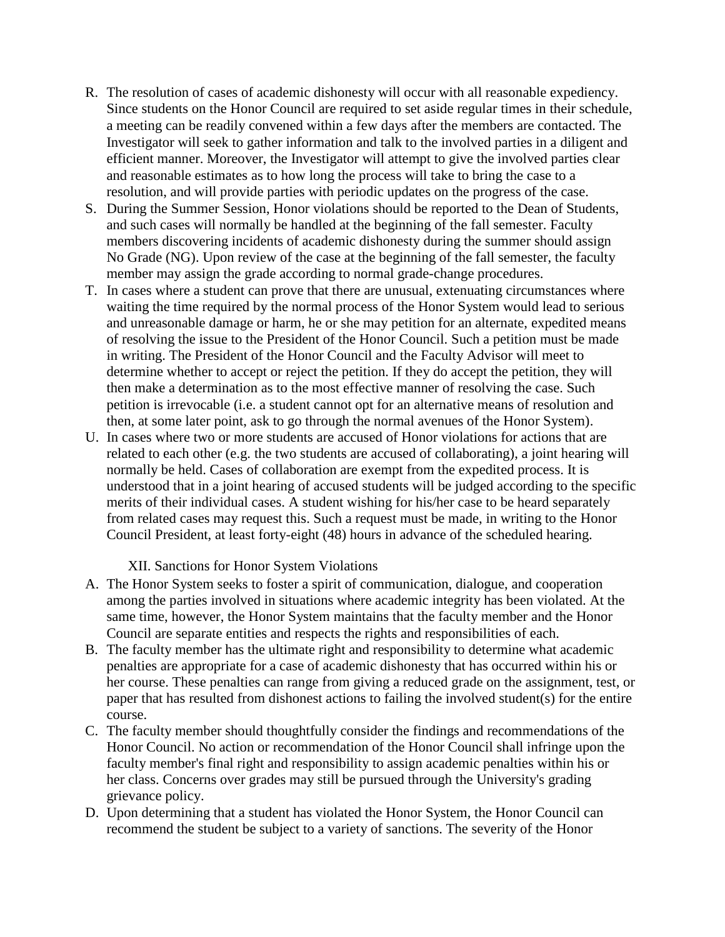- R. The resolution of cases of academic dishonesty will occur with all reasonable expediency. Since students on the Honor Council are required to set aside regular times in their schedule, a meeting can be readily convened within a few days after the members are contacted. The Investigator will seek to gather information and talk to the involved parties in a diligent and efficient manner. Moreover, the Investigator will attempt to give the involved parties clear and reasonable estimates as to how long the process will take to bring the case to a resolution, and will provide parties with periodic updates on the progress of the case.
- S. During the Summer Session, Honor violations should be reported to the Dean of Students, and such cases will normally be handled at the beginning of the fall semester. Faculty members discovering incidents of academic dishonesty during the summer should assign No Grade (NG). Upon review of the case at the beginning of the fall semester, the faculty member may assign the grade according to normal grade-change procedures.
- T. In cases where a student can prove that there are unusual, extenuating circumstances where waiting the time required by the normal process of the Honor System would lead to serious and unreasonable damage or harm, he or she may petition for an alternate, expedited means of resolving the issue to the President of the Honor Council. Such a petition must be made in writing. The President of the Honor Council and the Faculty Advisor will meet to determine whether to accept or reject the petition. If they do accept the petition, they will then make a determination as to the most effective manner of resolving the case. Such petition is irrevocable (i.e. a student cannot opt for an alternative means of resolution and then, at some later point, ask to go through the normal avenues of the Honor System).
- U. In cases where two or more students are accused of Honor violations for actions that are related to each other (e.g. the two students are accused of collaborating), a joint hearing will normally be held. Cases of collaboration are exempt from the expedited process. It is understood that in a joint hearing of accused students will be judged according to the specific merits of their individual cases. A student wishing for his/her case to be heard separately from related cases may request this. Such a request must be made, in writing to the Honor Council President, at least forty-eight (48) hours in advance of the scheduled hearing.

XII. Sanctions for Honor System Violations

- A. The Honor System seeks to foster a spirit of communication, dialogue, and cooperation among the parties involved in situations where academic integrity has been violated. At the same time, however, the Honor System maintains that the faculty member and the Honor Council are separate entities and respects the rights and responsibilities of each.
- B. The faculty member has the ultimate right and responsibility to determine what academic penalties are appropriate for a case of academic dishonesty that has occurred within his or her course. These penalties can range from giving a reduced grade on the assignment, test, or paper that has resulted from dishonest actions to failing the involved student(s) for the entire course.
- C. The faculty member should thoughtfully consider the findings and recommendations of the Honor Council. No action or recommendation of the Honor Council shall infringe upon the faculty member's final right and responsibility to assign academic penalties within his or her class. Concerns over grades may still be pursued through the University's grading grievance policy.
- D. Upon determining that a student has violated the Honor System, the Honor Council can recommend the student be subject to a variety of sanctions. The severity of the Honor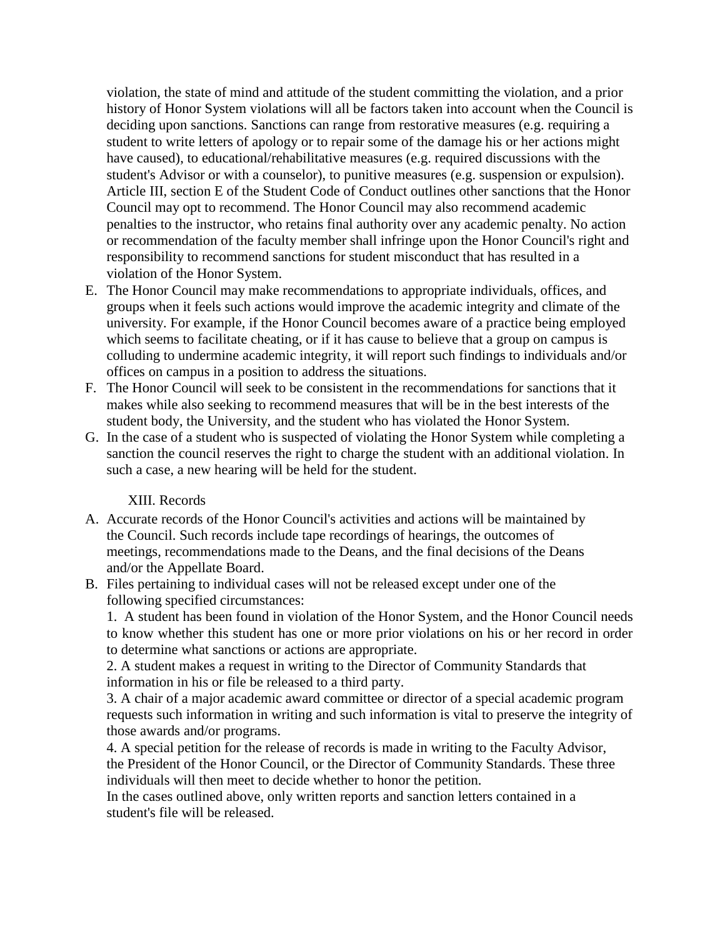violation, the state of mind and attitude of the student committing the violation, and a prior history of Honor System violations will all be factors taken into account when the Council is deciding upon sanctions. Sanctions can range from restorative measures (e.g. requiring a student to write letters of apology or to repair some of the damage his or her actions might have caused), to educational/rehabilitative measures (e.g. required discussions with the student's Advisor or with a counselor), to punitive measures (e.g. suspension or expulsion). Article III, section E of the Student Code of Conduct outlines other sanctions that the Honor Council may opt to recommend. The Honor Council may also recommend academic penalties to the instructor, who retains final authority over any academic penalty. No action or recommendation of the faculty member shall infringe upon the Honor Council's right and responsibility to recommend sanctions for student misconduct that has resulted in a violation of the Honor System.

- E. The Honor Council may make recommendations to appropriate individuals, offices, and groups when it feels such actions would improve the academic integrity and climate of the university. For example, if the Honor Council becomes aware of a practice being employed which seems to facilitate cheating, or if it has cause to believe that a group on campus is colluding to undermine academic integrity, it will report such findings to individuals and/or offices on campus in a position to address the situations.
- F. The Honor Council will seek to be consistent in the recommendations for sanctions that it makes while also seeking to recommend measures that will be in the best interests of the student body, the University, and the student who has violated the Honor System.
- G. In the case of a student who is suspected of violating the Honor System while completing a sanction the council reserves the right to charge the student with an additional violation. In such a case, a new hearing will be held for the student.

#### XIII. Records

- A. Accurate records of the Honor Council's activities and actions will be maintained by the Council. Such records include tape recordings of hearings, the outcomes of meetings, recommendations made to the Deans, and the final decisions of the Deans and/or the Appellate Board.
- B. Files pertaining to individual cases will not be released except under one of the following specified circumstances:

1. A student has been found in violation of the Honor System, and the Honor Council needs to know whether this student has one or more prior violations on his or her record in order to determine what sanctions or actions are appropriate.

2. A student makes a request in writing to the Director of Community Standards that information in his or file be released to a third party.

3. A chair of a major academic award committee or director of a special academic program requests such information in writing and such information is vital to preserve the integrity of those awards and/or programs.

4. A special petition for the release of records is made in writing to the Faculty Advisor, the President of the Honor Council, or the Director of Community Standards. These three individuals will then meet to decide whether to honor the petition.

In the cases outlined above, only written reports and sanction letters contained in a student's file will be released.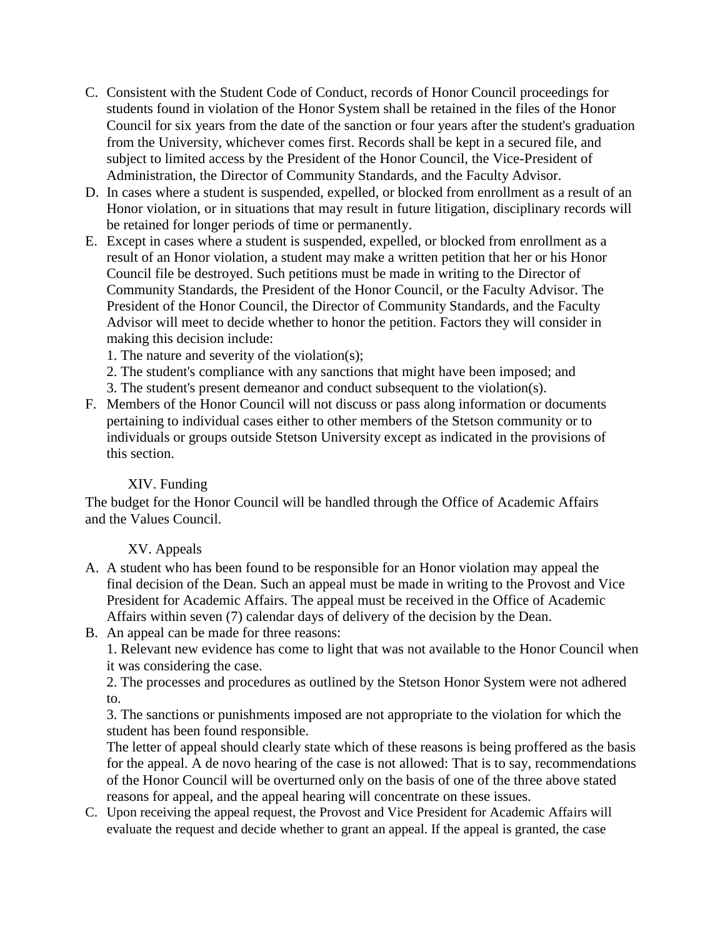- C. Consistent with the Student Code of Conduct, records of Honor Council proceedings for students found in violation of the Honor System shall be retained in the files of the Honor Council for six years from the date of the sanction or four years after the student's graduation from the University, whichever comes first. Records shall be kept in a secured file, and subject to limited access by the President of the Honor Council, the Vice-President of Administration, the Director of Community Standards, and the Faculty Advisor.
- D. In cases where a student is suspended, expelled, or blocked from enrollment as a result of an Honor violation, or in situations that may result in future litigation, disciplinary records will be retained for longer periods of time or permanently.
- E. Except in cases where a student is suspended, expelled, or blocked from enrollment as a result of an Honor violation, a student may make a written petition that her or his Honor Council file be destroyed. Such petitions must be made in writing to the Director of Community Standards, the President of the Honor Council, or the Faculty Advisor. The President of the Honor Council, the Director of Community Standards, and the Faculty Advisor will meet to decide whether to honor the petition. Factors they will consider in making this decision include:
	- 1. The nature and severity of the violation(s);
	- 2. The student's compliance with any sanctions that might have been imposed; and
	- 3. The student's present demeanor and conduct subsequent to the violation(s).
- F. Members of the Honor Council will not discuss or pass along information or documents pertaining to individual cases either to other members of the Stetson community or to individuals or groups outside Stetson University except as indicated in the provisions of this section.

# XIV. Funding

The budget for the Honor Council will be handled through the Office of Academic Affairs and the Values Council.

# XV. Appeals

- A. A student who has been found to be responsible for an Honor violation may appeal the final decision of the Dean. Such an appeal must be made in writing to the Provost and Vice President for Academic Affairs. The appeal must be received in the Office of Academic Affairs within seven (7) calendar days of delivery of the decision by the Dean.
- B. An appeal can be made for three reasons:

1. Relevant new evidence has come to light that was not available to the Honor Council when it was considering the case.

2. The processes and procedures as outlined by the Stetson Honor System were not adhered to.

3. The sanctions or punishments imposed are not appropriate to the violation for which the student has been found responsible.

The letter of appeal should clearly state which of these reasons is being proffered as the basis for the appeal. A de novo hearing of the case is not allowed: That is to say, recommendations of the Honor Council will be overturned only on the basis of one of the three above stated reasons for appeal, and the appeal hearing will concentrate on these issues.

C. Upon receiving the appeal request, the Provost and Vice President for Academic Affairs will evaluate the request and decide whether to grant an appeal. If the appeal is granted, the case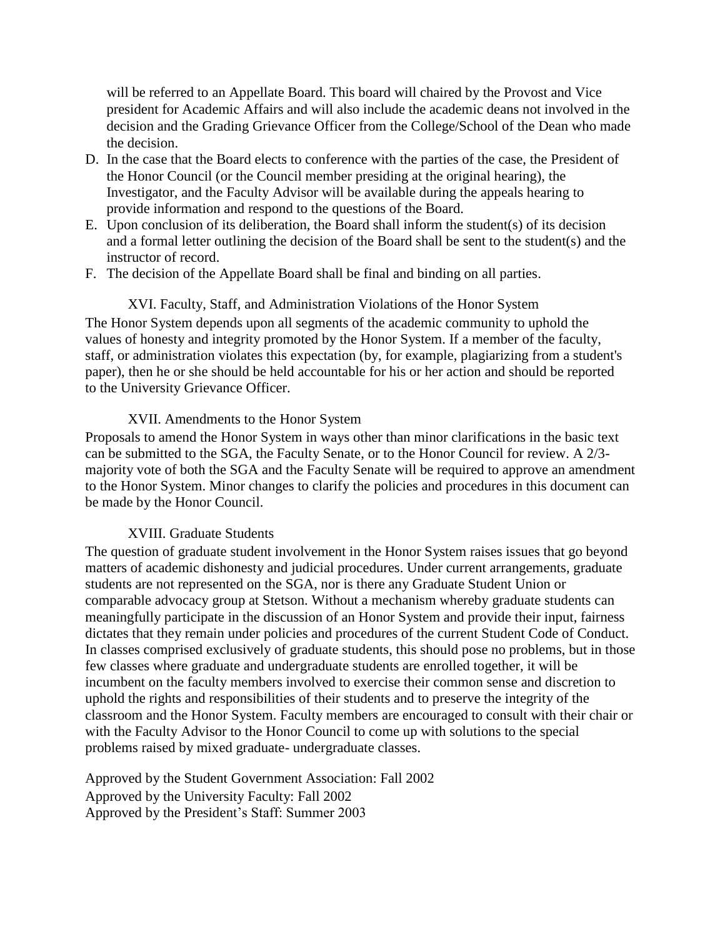will be referred to an Appellate Board. This board will chaired by the Provost and Vice president for Academic Affairs and will also include the academic deans not involved in the decision and the Grading Grievance Officer from the College/School of the Dean who made the decision.

- D. In the case that the Board elects to conference with the parties of the case, the President of the Honor Council (or the Council member presiding at the original hearing), the Investigator, and the Faculty Advisor will be available during the appeals hearing to provide information and respond to the questions of the Board.
- E. Upon conclusion of its deliberation, the Board shall inform the student(s) of its decision and a formal letter outlining the decision of the Board shall be sent to the student(s) and the instructor of record.
- F. The decision of the Appellate Board shall be final and binding on all parties.

XVI. Faculty, Staff, and Administration Violations of the Honor System The Honor System depends upon all segments of the academic community to uphold the values of honesty and integrity promoted by the Honor System. If a member of the faculty, staff, or administration violates this expectation (by, for example, plagiarizing from a student's paper), then he or she should be held accountable for his or her action and should be reported to the University Grievance Officer.

### XVII. Amendments to the Honor System

Proposals to amend the Honor System in ways other than minor clarifications in the basic text can be submitted to the SGA, the Faculty Senate, or to the Honor Council for review. A 2/3 majority vote of both the SGA and the Faculty Senate will be required to approve an amendment to the Honor System. Minor changes to clarify the policies and procedures in this document can be made by the Honor Council.

### XVIII. Graduate Students

The question of graduate student involvement in the Honor System raises issues that go beyond matters of academic dishonesty and judicial procedures. Under current arrangements, graduate students are not represented on the SGA, nor is there any Graduate Student Union or comparable advocacy group at Stetson. Without a mechanism whereby graduate students can meaningfully participate in the discussion of an Honor System and provide their input, fairness dictates that they remain under policies and procedures of the current Student Code of Conduct. In classes comprised exclusively of graduate students, this should pose no problems, but in those few classes where graduate and undergraduate students are enrolled together, it will be incumbent on the faculty members involved to exercise their common sense and discretion to uphold the rights and responsibilities of their students and to preserve the integrity of the classroom and the Honor System. Faculty members are encouraged to consult with their chair or with the Faculty Advisor to the Honor Council to come up with solutions to the special problems raised by mixed graduate- undergraduate classes.

Approved by the Student Government Association: Fall 2002 Approved by the University Faculty: Fall 2002 Approved by the President's Staff: Summer 2003